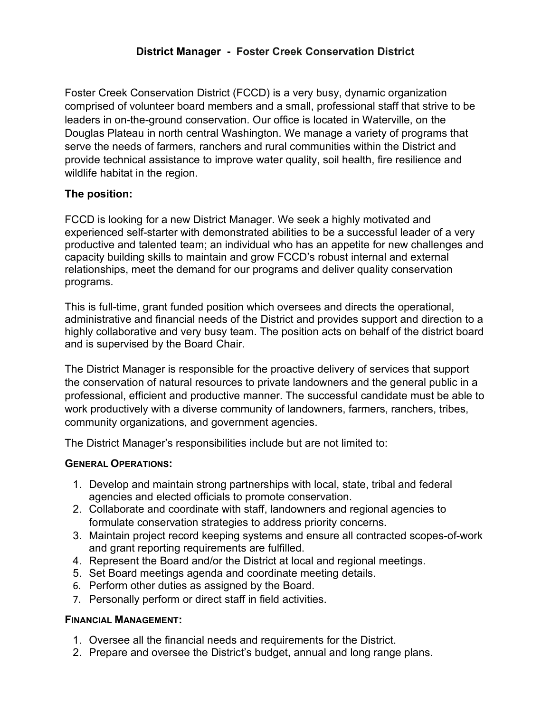## **District Manager - Foster Creek Conservation District**

Foster Creek Conservation District (FCCD) is a very busy, dynamic organization comprised of volunteer board members and a small, professional staff that strive to be leaders in on-the-ground conservation. Our office is located in Waterville, on the Douglas Plateau in north central Washington. We manage a variety of programs that serve the needs of farmers, ranchers and rural communities within the District and provide technical assistance to improve water quality, soil health, fire resilience and wildlife habitat in the region.

### **The position:**

FCCD is looking for a new District Manager. We seek a highly motivated and experienced self-starter with demonstrated abilities to be a successful leader of a very productive and talented team; an individual who has an appetite for new challenges and capacity building skills to maintain and grow FCCD's robust internal and external relationships, meet the demand for our programs and deliver quality conservation programs.

This is full-time, grant funded position which oversees and directs the operational, administrative and financial needs of the District and provides support and direction to a highly collaborative and very busy team. The position acts on behalf of the district board and is supervised by the Board Chair.

The District Manager is responsible for the proactive delivery of services that support the conservation of natural resources to private landowners and the general public in a professional, efficient and productive manner. The successful candidate must be able to work productively with a diverse community of landowners, farmers, ranchers, tribes, community organizations, and government agencies.

The District Manager's responsibilities include but are not limited to:

### **GENERAL OPERATIONS:**

- 1. Develop and maintain strong partnerships with local, state, tribal and federal agencies and elected officials to promote conservation.
- 2. Collaborate and coordinate with staff, landowners and regional agencies to formulate conservation strategies to address priority concerns.
- 3. Maintain project record keeping systems and ensure all contracted scopes-of-work and grant reporting requirements are fulfilled.
- 4. Represent the Board and/or the District at local and regional meetings.
- 5. Set Board meetings agenda and coordinate meeting details.
- 6. Perform other duties as assigned by the Board.
- 7. Personally perform or direct staff in field activities.

### **FINANCIAL MANAGEMENT:**

- 1. Oversee all the financial needs and requirements for the District.
- 2. Prepare and oversee the District's budget, annual and long range plans.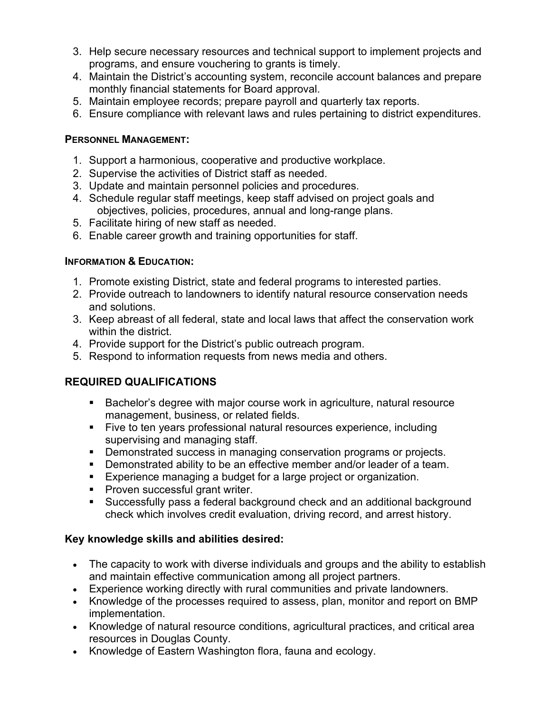- 3. Help secure necessary resources and technical support to implement projects and programs, and ensure vouchering to grants is timely.
- 4. Maintain the District's accounting system, reconcile account balances and prepare monthly financial statements for Board approval.
- 5. Maintain employee records; prepare payroll and quarterly tax reports.
- 6. Ensure compliance with relevant laws and rules pertaining to district expenditures.

### **PERSONNEL MANAGEMENT:**

- 1. Support a harmonious, cooperative and productive workplace.
- 2. Supervise the activities of District staff as needed.
- 3. Update and maintain personnel policies and procedures.
- 4. Schedule regular staff meetings, keep staff advised on project goals and objectives, policies, procedures, annual and long-range plans.
- 5. Facilitate hiring of new staff as needed.
- 6. Enable career growth and training opportunities for staff.

# **INFORMATION & EDUCATION:**

- 1. Promote existing District, state and federal programs to interested parties.
- 2. Provide outreach to landowners to identify natural resource conservation needs and solutions.
- 3. Keep abreast of all federal, state and local laws that affect the conservation work within the district.
- 4. Provide support for the District's public outreach program.
- 5. Respond to information requests from news media and others.

# **REQUIRED QUALIFICATIONS**

- Bachelor's degree with major course work in agriculture, natural resource management, business, or related fields.
- Five to ten years professional natural resources experience, including supervising and managing staff.
- **Demonstrated success in managing conservation programs or projects.**
- Demonstrated ability to be an effective member and/or leader of a team.
- **Experience managing a budget for a large project or organization.**
- Proven successful grant writer.
- Successfully pass a federal background check and an additional background check which involves credit evaluation, driving record, and arrest history.

# **Key knowledge skills and abilities desired:**

- The capacity to work with diverse individuals and groups and the ability to establish and maintain effective communication among all project partners.
- Experience working directly with rural communities and private landowners.
- Knowledge of the processes required to assess, plan, monitor and report on BMP implementation.
- Knowledge of natural resource conditions, agricultural practices, and critical area resources in Douglas County.
- Knowledge of Eastern Washington flora, fauna and ecology.